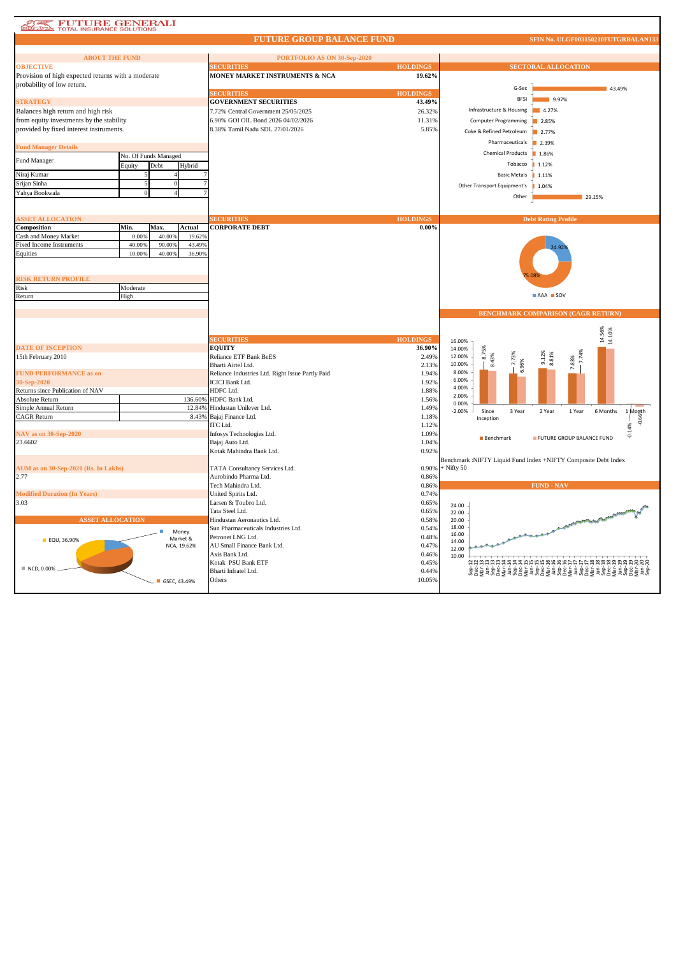# **STARK TOTAL INSURANCE SOLUTIONS**

#### **FUTURE GROUP BALANCE FUND**

| <b>ABOUT THE FUND</b>                              |          |                      |             | PORTFOLIO AS ON 30-Sep-2020                      |                 |              |                             |                                                                       |  |
|----------------------------------------------------|----------|----------------------|-------------|--------------------------------------------------|-----------------|--------------|-----------------------------|-----------------------------------------------------------------------|--|
| <b>OBJECTIVE</b>                                   |          |                      |             | <b>ECURITIES</b>                                 | <b>HOLDINGS</b> |              |                             | <b>SECTORAL ALLOCATION</b>                                            |  |
| Provision of high expected returns with a moderate |          |                      |             | MONEY MARKET INSTRUMENTS & NCA                   | 19.62%          |              |                             |                                                                       |  |
|                                                    |          |                      |             |                                                  |                 |              |                             |                                                                       |  |
| probability of low return.                         |          |                      |             |                                                  |                 |              | G-Sec                       | 43.49%                                                                |  |
|                                                    |          |                      |             | <b>SECURITIES</b>                                | <b>HOLDINGS</b> |              |                             |                                                                       |  |
| <b>STRATEGY</b>                                    |          |                      |             | <b>GOVERNMENT SECURITIES</b>                     | 43.49%          |              | <b>BFSI</b>                 | 9.97%                                                                 |  |
| Balances high return and high risk                 |          |                      |             | 7.72% Central Government 25/05/2025              | 26.32%          |              | Infrastructure & Housing    | 4.27%                                                                 |  |
|                                                    |          |                      |             |                                                  |                 |              |                             |                                                                       |  |
| from equity investments by the stability           |          |                      |             | 6.90% GOI OIL Bond 2026 04/02/2026               | 11.31%          |              | <b>Computer Programming</b> | 2.85%                                                                 |  |
| provided by fixed interest instruments.            |          |                      |             | 8.38% Tamil Nadu SDL 27/01/2026                  | 5.85%           |              | Coke & Refined Petroleum    | 2.77%                                                                 |  |
|                                                    |          |                      |             |                                                  |                 |              |                             |                                                                       |  |
| <b>Fund Manager Details</b>                        |          |                      |             |                                                  |                 |              | Pharmaceuticals             | 2.39%                                                                 |  |
|                                                    |          |                      |             |                                                  |                 |              | <b>Chemical Products</b>    | 1.86%                                                                 |  |
| Fund Manager                                       |          | No. Of Funds Managed |             |                                                  |                 |              |                             |                                                                       |  |
|                                                    | Equity   | Debt                 | Hybrid      |                                                  |                 |              | Tobacco                     | 1.12%                                                                 |  |
| Niraj Kumar                                        |          |                      |             |                                                  |                 |              | <b>Basic Metals</b>         | 1.11%                                                                 |  |
|                                                    |          |                      |             |                                                  |                 |              |                             |                                                                       |  |
| Srijan Sinha                                       |          | $\bf{0}$             |             |                                                  |                 |              | Other Transport Equipment's | 1.04%                                                                 |  |
| Yahya Bookwala                                     |          |                      |             |                                                  |                 |              |                             |                                                                       |  |
|                                                    |          |                      |             |                                                  |                 |              | Other                       | 29.15%                                                                |  |
|                                                    |          |                      |             |                                                  |                 |              |                             |                                                                       |  |
|                                                    |          |                      |             |                                                  |                 |              |                             |                                                                       |  |
| <b>ASSET ALLOCATION</b>                            |          |                      |             | <b>SECURITIES</b>                                | <b>HOLDINGS</b> |              |                             | <b>Debt Rating Profile</b>                                            |  |
| Composition                                        | Min.     | Max.                 | Actual      | <b>CORPORATE DEBT</b>                            | $0.00\%$        |              |                             |                                                                       |  |
| Cash and Money Market                              | 0.009    | 40.009               | 19.629      |                                                  |                 |              |                             |                                                                       |  |
| Fixed Income Instruments                           | 40.00%   | 90.00%               | 43.49%      |                                                  |                 |              |                             |                                                                       |  |
|                                                    | 10.009   | 40.00%               | 36.90%      |                                                  |                 |              |                             |                                                                       |  |
| Equities                                           |          |                      |             |                                                  |                 |              |                             |                                                                       |  |
|                                                    |          |                      |             |                                                  |                 |              |                             |                                                                       |  |
|                                                    |          |                      |             |                                                  |                 |              |                             |                                                                       |  |
| <b>RISK RETURN PROFILE</b>                         |          |                      |             |                                                  |                 |              |                             |                                                                       |  |
| Risk                                               | Moderate |                      |             |                                                  |                 |              |                             |                                                                       |  |
|                                                    |          |                      |             |                                                  |                 |              |                             | AAA SOV                                                               |  |
| Return                                             | High     |                      |             |                                                  |                 |              |                             |                                                                       |  |
|                                                    |          |                      |             |                                                  |                 |              |                             |                                                                       |  |
|                                                    |          |                      |             |                                                  |                 |              |                             | <b>BENCHMARK COMPARISON (CAGR RETURN)</b>                             |  |
|                                                    |          |                      |             |                                                  |                 |              |                             |                                                                       |  |
|                                                    |          |                      |             |                                                  |                 |              |                             |                                                                       |  |
|                                                    |          |                      |             |                                                  |                 |              |                             |                                                                       |  |
|                                                    |          |                      |             |                                                  |                 |              |                             |                                                                       |  |
|                                                    |          |                      |             | <b>SECURITIES</b>                                | <b>HOLDINGS</b> | 16.00%       |                             | 14.56%                                                                |  |
| <b>DATE OF INCEPTION</b>                           |          |                      |             | <b>EOUITY</b>                                    | 36.90%          | 14.00%       |                             | 14.10%                                                                |  |
|                                                    |          |                      |             |                                                  | 2.49%           | 12.00%       | αó                          |                                                                       |  |
| 15th February 2010                                 |          |                      |             | Reliance ETF Bank BeES                           |                 |              |                             | 7.74%<br>9.12%<br>8.81%                                               |  |
|                                                    |          |                      |             | Bharti Airtel Ltd.                               | 2.13%           | 10.00%       | 7.73%<br>8.43%              | 7.83%                                                                 |  |
| <b>FUND PERFORMANCE as on</b>                      |          |                      |             | Reliance Industries Ltd. Right Issue Partly Paid | 1.94%           | 8.00%        | 6.96%                       |                                                                       |  |
| 30-Sep-2020                                        |          |                      |             | <b>ICICI Bank Ltd.</b>                           | 1.92%           | 6.00%        |                             |                                                                       |  |
| Returns since Publication of NAV                   |          |                      |             | HDFC Ltd.                                        | 1.88%           | 4.00%        |                             |                                                                       |  |
|                                                    |          |                      |             | HDFC Bank Ltd.                                   |                 | 2.00%        |                             |                                                                       |  |
| Absolute Return                                    |          |                      | 136.60%     |                                                  | 1.56%           | 0.00%        |                             |                                                                       |  |
| Simple Annual Return                               |          |                      | 12.84%      | Hindustan Unilever Ltd.                          | 1.49%           | $-2.00%$     | Since<br>3 Year             | 6 Months<br>2 Year<br>1 Year                                          |  |
| CAGR Return                                        |          |                      | 8.43%       | Bajaj Finance Ltd.                               | 1.18%           |              | Inception                   |                                                                       |  |
|                                                    |          |                      |             | ITC Ltd.                                         | 1.12%           |              |                             | $\frac{1 \text{ Mogth}}{800}$                                         |  |
| NAV as on 30-Sep-2020                              |          |                      |             | Infosys Technologies Ltd.                        | 1.09%           |              |                             | 14%<br>¢                                                              |  |
| 23.6602                                            |          |                      |             |                                                  | 1.04%           |              | <b>Benchmark</b>            | FUTURE GROUP BALANCE FUND                                             |  |
|                                                    |          |                      |             | Bajaj Auto Ltd.                                  |                 |              |                             |                                                                       |  |
|                                                    |          |                      |             | Kotak Mahindra Bank Ltd.                         | 0.92%           |              |                             |                                                                       |  |
|                                                    |          |                      |             |                                                  |                 |              |                             | Benchmark :NIFTY Liquid Fund Index +NIFTY Composite Debt Index        |  |
| AUM as on 30-Sep-2020 (Rs. In Lakhs)               |          |                      |             | TATA Consultancy Services Ltd.                   | 0.90%           | $+$ Nifty 50 |                             |                                                                       |  |
| 2.77                                               |          |                      |             | Aurobindo Pharma Ltd.                            | 0.86%           |              |                             |                                                                       |  |
|                                                    |          |                      |             |                                                  |                 |              |                             |                                                                       |  |
|                                                    |          |                      |             | Tech Mahindra Ltd.                               | 0.86%           |              |                             | <b>FUND - NAV</b>                                                     |  |
| <b>Modified Duration (In Years)</b>                |          |                      |             | United Spirits Ltd.                              | 0.74%           |              |                             |                                                                       |  |
| 3.03                                               |          |                      |             | Larsen & Toubro Ltd.                             | 0.65%           | 24.00        |                             |                                                                       |  |
|                                                    |          |                      |             | Tata Steel Ltd.                                  | 0.65%           | 22.00        |                             |                                                                       |  |
| <b>ASSET ALLOCATION</b>                            |          |                      |             | Hindustan Aeronautics Ltd.                       | 0.58%           | 20.00        |                             |                                                                       |  |
|                                                    |          |                      |             |                                                  |                 | 18.00        |                             |                                                                       |  |
|                                                    |          |                      | Money       | Sun Pharmaceuticals Industries Ltd.              | 0.54%           | 16.00        |                             | . A  OFFICE OF THE TEMPLE TO BE THE THE COLLEGE OF THE COLLEGE OF THE |  |
| <b>EQU, 36.90%</b>                                 |          |                      | Market &    | Petronet LNG Ltd.                                | 0.48%           | 14.00        |                             |                                                                       |  |
|                                                    |          |                      | NCA, 19.62% | AU Small Finance Bank Ltd.                       | 0.47%           |              |                             |                                                                       |  |
|                                                    |          |                      |             | Axis Bank Ltd.                                   | 0.46%           | 12.00        |                             |                                                                       |  |
|                                                    |          |                      |             |                                                  |                 | 10.00        |                             |                                                                       |  |
| ■ NCD, 0.00%                                       |          |                      |             | Kotak PSU Bank ETF                               | 0.45%           |              |                             |                                                                       |  |
|                                                    |          |                      |             | Bharti Infratel Ltd.                             | 0.44%           |              |                             |                                                                       |  |
|                                                    |          | GSEC, 43.49%         |             | Others                                           | 10.05%          |              |                             |                                                                       |  |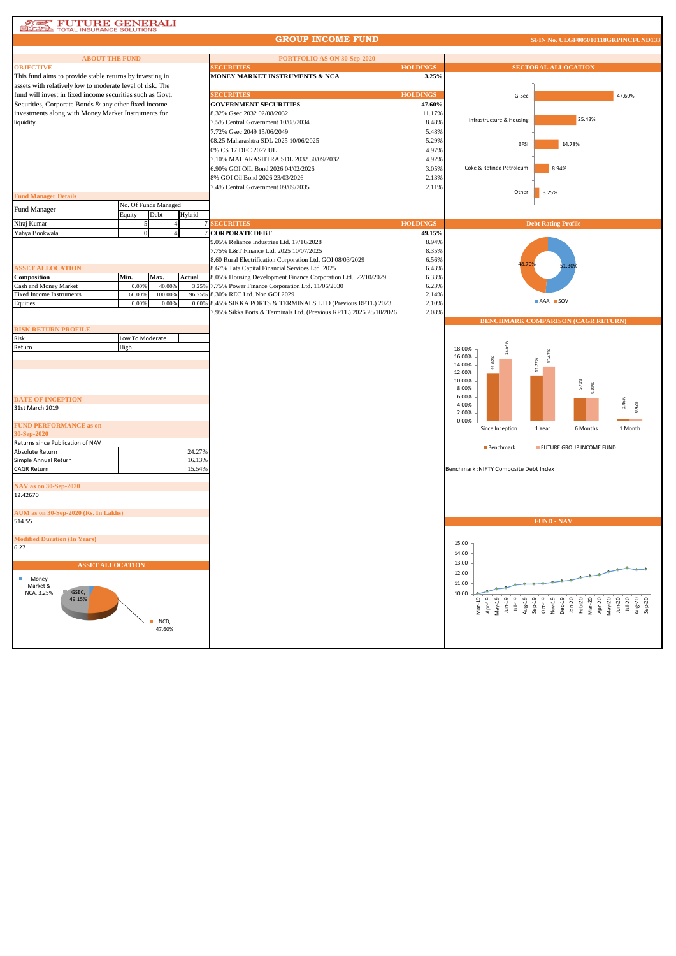## **AT PUTURE GENERALI**<br> **CONSIDERATION** TOTAL INSURANCE SOLUTIONS

#### **GROUP INCOME FUND**

**SFIN No. ULGF005010118GRPINCFU** 

| <b>ABOUT THE FUND</b>                                     |                 |                      |        | PORTFOLIO AS ON 30-Sep-2020                                        |                 |                                                                                                                                                                                                                                                                                                                                                                                                                     |                                                                           |
|-----------------------------------------------------------|-----------------|----------------------|--------|--------------------------------------------------------------------|-----------------|---------------------------------------------------------------------------------------------------------------------------------------------------------------------------------------------------------------------------------------------------------------------------------------------------------------------------------------------------------------------------------------------------------------------|---------------------------------------------------------------------------|
| <b>OBJECTIVE</b>                                          |                 |                      |        | <b>SECURITIES</b>                                                  | <b>HOLDINGS</b> | <b>SECTORAL ALLOCATION</b>                                                                                                                                                                                                                                                                                                                                                                                          |                                                                           |
| This fund aims to provide stable returns by investing in  |                 |                      |        | MONEY MARKET INSTRUMENTS & NCA                                     | 3.25%           |                                                                                                                                                                                                                                                                                                                                                                                                                     |                                                                           |
| assets with relatively low to moderate level of risk. The |                 |                      |        |                                                                    |                 |                                                                                                                                                                                                                                                                                                                                                                                                                     |                                                                           |
| fund will invest in fixed income securities such as Govt. |                 |                      |        | <b>SECURITIES</b>                                                  | <b>HOLDINGS</b> | G-Sec                                                                                                                                                                                                                                                                                                                                                                                                               | 47.60%                                                                    |
| Securities, Corporate Bonds & any other fixed income      |                 |                      |        | <b>GOVERNMENT SECURITIES</b>                                       | 47.60%          |                                                                                                                                                                                                                                                                                                                                                                                                                     |                                                                           |
| investments along with Money Market Instruments for       |                 |                      |        | 8.32% Gsec 2032 02/08/2032                                         | 11.17%          |                                                                                                                                                                                                                                                                                                                                                                                                                     |                                                                           |
| liquidity.                                                |                 |                      |        | 7.5% Central Government 10/08/2034                                 | 8.48%           | Infrastructure & Housing                                                                                                                                                                                                                                                                                                                                                                                            | 25.43%                                                                    |
|                                                           |                 |                      |        |                                                                    |                 |                                                                                                                                                                                                                                                                                                                                                                                                                     |                                                                           |
|                                                           |                 |                      |        | 7.72% Gsec 2049 15/06/2049                                         | 5.48%           |                                                                                                                                                                                                                                                                                                                                                                                                                     |                                                                           |
|                                                           |                 |                      |        | 08.25 Maharashtra SDL 2025 10/06/2025                              | 5.29%           | <b>BFSI</b>                                                                                                                                                                                                                                                                                                                                                                                                         | 14.78%                                                                    |
|                                                           |                 |                      |        | 0% CS 17 DEC 2027 UL                                               | 4.97%           |                                                                                                                                                                                                                                                                                                                                                                                                                     |                                                                           |
|                                                           |                 |                      |        | 7.10% MAHARASHTRA SDL 2032 30/09/2032                              | 4.92%           |                                                                                                                                                                                                                                                                                                                                                                                                                     |                                                                           |
|                                                           |                 |                      |        | 6.90% GOI OIL Bond 2026 04/02/2026                                 | 3.05%           | 8.94%<br>Coke & Refined Petroleum                                                                                                                                                                                                                                                                                                                                                                                   |                                                                           |
|                                                           |                 |                      |        | 8% GOI Oil Bond 2026 23/03/2026                                    | 2.13%           |                                                                                                                                                                                                                                                                                                                                                                                                                     |                                                                           |
|                                                           |                 |                      |        |                                                                    |                 |                                                                                                                                                                                                                                                                                                                                                                                                                     |                                                                           |
|                                                           |                 |                      |        | 7.4% Central Government 09/09/2035                                 | 2.11%           | Other<br>3.25%                                                                                                                                                                                                                                                                                                                                                                                                      |                                                                           |
| <b>Fund Manager Details</b>                               |                 |                      |        |                                                                    |                 |                                                                                                                                                                                                                                                                                                                                                                                                                     |                                                                           |
| Fund Manager                                              |                 | No. Of Funds Managed |        |                                                                    |                 |                                                                                                                                                                                                                                                                                                                                                                                                                     |                                                                           |
|                                                           | Equity          | Debt                 | Hybrid |                                                                    |                 |                                                                                                                                                                                                                                                                                                                                                                                                                     |                                                                           |
| Niraj Kumar                                               | 5               |                      |        | <b>SECURITIES</b>                                                  | <b>HOLDINGS</b> | <b>Debt Rating Profile</b>                                                                                                                                                                                                                                                                                                                                                                                          |                                                                           |
| Yahya Bookwala                                            |                 |                      |        | <b>CORPORATE DEBT</b>                                              | 49.15%          |                                                                                                                                                                                                                                                                                                                                                                                                                     |                                                                           |
|                                                           |                 |                      |        | 9.05% Reliance Industries Ltd. 17/10/2028                          | 8.94%           |                                                                                                                                                                                                                                                                                                                                                                                                                     |                                                                           |
|                                                           |                 |                      |        |                                                                    |                 |                                                                                                                                                                                                                                                                                                                                                                                                                     |                                                                           |
|                                                           |                 |                      |        | 7.75% L&T Finance Ltd. 2025 10/07/2025                             | 8.35%           |                                                                                                                                                                                                                                                                                                                                                                                                                     |                                                                           |
|                                                           |                 |                      |        | 8.60 Rural Electrification Corporation Ltd. GOI 08/03/2029         | 6.56%           |                                                                                                                                                                                                                                                                                                                                                                                                                     |                                                                           |
| <b>ASSET ALLOCATION</b>                                   |                 |                      |        | 8.67% Tata Capital Financial Services Ltd. 2025                    | 6.43%           |                                                                                                                                                                                                                                                                                                                                                                                                                     |                                                                           |
| Composition                                               | Min.            | Max.                 | Actual | 8.05% Housing Development Finance Corporation Ltd. 22/10/2029      | 6.33%           |                                                                                                                                                                                                                                                                                                                                                                                                                     |                                                                           |
| Cash and Money Market                                     | 0.00%           | 40.00%               | 3.259  | 7.75% Power Finance Corporation Ltd. 11/06/2030                    | 6.23%           |                                                                                                                                                                                                                                                                                                                                                                                                                     |                                                                           |
| <b>Fixed Income Instruments</b>                           | 60.009          | 100.009              | 96.759 | 8.30% REC Ltd. Non GOI 2029                                        | 2.14%           |                                                                                                                                                                                                                                                                                                                                                                                                                     |                                                                           |
| Equities                                                  | 0.00%           | 0.00%                |        | 0.00% 8.45% SIKKA PORTS & TERMINALS LTD (Previous RPTL) 2023       | 2.10%           | AAA SOV                                                                                                                                                                                                                                                                                                                                                                                                             |                                                                           |
|                                                           |                 |                      |        | 7.95% Sikka Ports & Terminals Ltd. (Previous RPTL) 2026 28/10/2026 | 2.08%           |                                                                                                                                                                                                                                                                                                                                                                                                                     |                                                                           |
|                                                           |                 |                      |        |                                                                    |                 | BENCHMARK COMPARISON (CAGR RETURN)                                                                                                                                                                                                                                                                                                                                                                                  |                                                                           |
| <b>RISK RETURN PROFILE</b>                                |                 |                      |        |                                                                    |                 |                                                                                                                                                                                                                                                                                                                                                                                                                     |                                                                           |
| Risk                                                      | Low To Moderate |                      |        |                                                                    |                 |                                                                                                                                                                                                                                                                                                                                                                                                                     |                                                                           |
|                                                           |                 |                      |        |                                                                    |                 |                                                                                                                                                                                                                                                                                                                                                                                                                     |                                                                           |
| Return                                                    | High            |                      |        |                                                                    |                 | 15.54%<br>18.00%                                                                                                                                                                                                                                                                                                                                                                                                    |                                                                           |
|                                                           |                 |                      |        |                                                                    |                 | 16.00%                                                                                                                                                                                                                                                                                                                                                                                                              |                                                                           |
|                                                           |                 |                      |        |                                                                    |                 | 11.82%<br>11.27%<br>14.00%                                                                                                                                                                                                                                                                                                                                                                                          |                                                                           |
|                                                           |                 |                      |        |                                                                    |                 | 12.00%                                                                                                                                                                                                                                                                                                                                                                                                              |                                                                           |
|                                                           |                 |                      |        |                                                                    |                 | 10.00%                                                                                                                                                                                                                                                                                                                                                                                                              | 5.78%                                                                     |
|                                                           |                 |                      |        |                                                                    |                 | 8.00%                                                                                                                                                                                                                                                                                                                                                                                                               | 5.81%                                                                     |
| <b>DATE OF INCEPTION</b>                                  |                 |                      |        |                                                                    |                 | 6.00%                                                                                                                                                                                                                                                                                                                                                                                                               |                                                                           |
| 31st March 2019                                           |                 |                      |        |                                                                    |                 | 4.00%                                                                                                                                                                                                                                                                                                                                                                                                               | 0.46%                                                                     |
|                                                           |                 |                      |        |                                                                    |                 | 2.00%                                                                                                                                                                                                                                                                                                                                                                                                               |                                                                           |
| <b>FUND PERFORMANCE as on</b>                             |                 |                      |        |                                                                    |                 | 0.00%                                                                                                                                                                                                                                                                                                                                                                                                               |                                                                           |
| 30-Sep-2020                                               |                 |                      |        |                                                                    |                 | Since Inception<br>1 Year                                                                                                                                                                                                                                                                                                                                                                                           | 6 Months<br>1 Month                                                       |
|                                                           |                 |                      |        |                                                                    |                 |                                                                                                                                                                                                                                                                                                                                                                                                                     |                                                                           |
| Returns since Publication of NAV                          |                 |                      |        |                                                                    |                 | <b>Benchmark</b>                                                                                                                                                                                                                                                                                                                                                                                                    | FUTURE GROUP INCOME FUND                                                  |
| Absolute Return                                           |                 |                      | 24.27% |                                                                    |                 |                                                                                                                                                                                                                                                                                                                                                                                                                     |                                                                           |
| Simple Annual Return                                      |                 |                      | 16.13% |                                                                    |                 |                                                                                                                                                                                                                                                                                                                                                                                                                     |                                                                           |
| <b>CAGR Return</b>                                        |                 |                      | 15.54% |                                                                    |                 | Benchmark : NIFTY Composite Debt Index                                                                                                                                                                                                                                                                                                                                                                              |                                                                           |
|                                                           |                 |                      |        |                                                                    |                 |                                                                                                                                                                                                                                                                                                                                                                                                                     |                                                                           |
| <b>NAV</b> as on 30-Sep-2020                              |                 |                      |        |                                                                    |                 |                                                                                                                                                                                                                                                                                                                                                                                                                     |                                                                           |
| 12.42670                                                  |                 |                      |        |                                                                    |                 |                                                                                                                                                                                                                                                                                                                                                                                                                     |                                                                           |
|                                                           |                 |                      |        |                                                                    |                 |                                                                                                                                                                                                                                                                                                                                                                                                                     |                                                                           |
| AUM as on 30-Sep-2020 (Rs. In Lakhs)                      |                 |                      |        |                                                                    |                 |                                                                                                                                                                                                                                                                                                                                                                                                                     |                                                                           |
| 514.55                                                    |                 |                      |        |                                                                    |                 | <b>FUND - NAV</b>                                                                                                                                                                                                                                                                                                                                                                                                   |                                                                           |
|                                                           |                 |                      |        |                                                                    |                 |                                                                                                                                                                                                                                                                                                                                                                                                                     |                                                                           |
| <b>Modified Duration (In Years)</b>                       |                 |                      |        |                                                                    |                 |                                                                                                                                                                                                                                                                                                                                                                                                                     |                                                                           |
|                                                           |                 |                      |        |                                                                    |                 | 15.00                                                                                                                                                                                                                                                                                                                                                                                                               |                                                                           |
| 6.27                                                      |                 |                      |        |                                                                    |                 | 14.00                                                                                                                                                                                                                                                                                                                                                                                                               |                                                                           |
|                                                           |                 |                      |        |                                                                    |                 |                                                                                                                                                                                                                                                                                                                                                                                                                     |                                                                           |
| <b>ASSET ALLOCATION</b>                                   |                 |                      |        |                                                                    |                 | 13.00                                                                                                                                                                                                                                                                                                                                                                                                               |                                                                           |
| п<br>Money                                                |                 |                      |        |                                                                    |                 | 12.00                                                                                                                                                                                                                                                                                                                                                                                                               |                                                                           |
| Market &                                                  |                 |                      |        |                                                                    |                 | 11.00                                                                                                                                                                                                                                                                                                                                                                                                               |                                                                           |
| GSEC,<br>NCA, 3.25%                                       |                 |                      |        |                                                                    |                 | 10.00                                                                                                                                                                                                                                                                                                                                                                                                               |                                                                           |
| 49.15%                                                    |                 |                      |        |                                                                    |                 |                                                                                                                                                                                                                                                                                                                                                                                                                     |                                                                           |
|                                                           |                 |                      |        |                                                                    |                 | Mar-19<br>Apr-19<br>May-19<br>Jun-19<br>$\begin{bmatrix} 1 & -19 \\ -19 & -19 \\ -19 & -19 \\ -19 & -19 \\ -19 & -19 \\ -19 & -19 \\ -19 & -19 \\ -19 & -19 \\ -19 & -19 \\ -19 & -19 \\ -19 & -19 \\ -19 & -19 \\ -19 & -19 \\ -19 & -19 \\ -19 & -19 \\ -19 & -19 \\ -19 & -19 \\ -19 & -19 \\ -19 & -19 \\ -19 & -19 \\ -19 & -19 \\ -19 & -19 \\ -19 & -19 \\ -19 & -19 \\ -19 & -19 \\ -19 & -19 \\ -19 & -19$ | $Apr-20$<br>$Map-20$<br>$Im-20$<br>$Im-20$<br>$Im-20$<br>Aug-20<br>Sep-20 |
|                                                           |                 |                      |        |                                                                    |                 |                                                                                                                                                                                                                                                                                                                                                                                                                     |                                                                           |
|                                                           |                 | NCD,                 |        |                                                                    |                 |                                                                                                                                                                                                                                                                                                                                                                                                                     |                                                                           |
|                                                           |                 | 47.60%               |        |                                                                    |                 |                                                                                                                                                                                                                                                                                                                                                                                                                     |                                                                           |
|                                                           |                 |                      |        |                                                                    |                 |                                                                                                                                                                                                                                                                                                                                                                                                                     |                                                                           |
|                                                           |                 |                      |        |                                                                    |                 |                                                                                                                                                                                                                                                                                                                                                                                                                     |                                                                           |